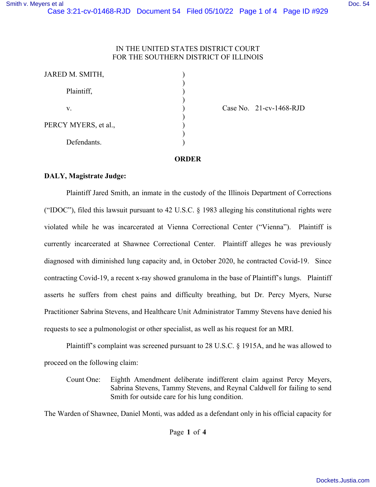### IN THE UNITED STATES DISTRICT COURT FOR THE SOUTHERN DISTRICT OF ILLINOIS

| JARED M. SMITH,      |  |
|----------------------|--|
| Plaintiff,           |  |
| V.                   |  |
| PERCY MYERS, et al., |  |
| Defendants.          |  |

Case No. 21-cv-1468-RJD

#### **ORDER**

### **DALY, Magistrate Judge:**

 Plaintiff Jared Smith, an inmate in the custody of the Illinois Department of Corrections ("IDOC"), filed this lawsuit pursuant to 42 U.S.C. § 1983 alleging his constitutional rights were violated while he was incarcerated at Vienna Correctional Center ("Vienna"). Plaintiff is currently incarcerated at Shawnee Correctional Center. Plaintiff alleges he was previously diagnosed with diminished lung capacity and, in October 2020, he contracted Covid-19. Since contracting Covid-19, a recent x-ray showed granuloma in the base of Plaintiff's lungs. Plaintiff asserts he suffers from chest pains and difficulty breathing, but Dr. Percy Myers, Nurse Practitioner Sabrina Stevens, and Healthcare Unit Administrator Tammy Stevens have denied his requests to see a pulmonologist or other specialist, as well as his request for an MRI.

 Plaintiff's complaint was screened pursuant to 28 U.S.C. § 1915A, and he was allowed to proceed on the following claim:

Count One: Eighth Amendment deliberate indifferent claim against Percy Meyers, Sabrina Stevens, Tammy Stevens, and Reynal Caldwell for failing to send Smith for outside care for his lung condition.

The Warden of Shawnee, Daniel Monti, was added as a defendant only in his official capacity for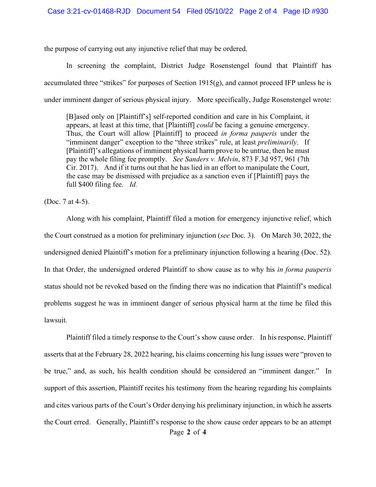the purpose of carrying out any injunctive relief that may be ordered.

 In screening the complaint, District Judge Rosenstengel found that Plaintiff has accumulated three "strikes" for purposes of Section  $1915(g)$ , and cannot proceed IFP unless he is under imminent danger of serious physical injury. More specifically, Judge Rosenstengel wrote:

[B]ased only on [Plaintiff's] self-reported condition and care in his Complaint, it appears, at least at this time, that [Plaintiff] *could* be facing a genuine emergency. Thus, the Court will allow [Plaintiff] to proceed *in forma pauperis* under the "imminent danger" exception to the "three strikes" rule, at least *preliminarily*. If [Plaintiff]'s allegations of imminent physical harm prove to be untrue, then he must pay the whole filing fee promptly. *See Sanders v. Melvin*, 873 F.3d 957, 961 (7th Cir. 2017). And if it turns out that he has lied in an effort to manipulate the Court, the case may be dismissed with prejudice as a sanction even if [Plaintiff] pays the full \$400 filing fee. *Id.*

(Doc. 7 at 4-5).

 Along with his complaint, Plaintiff filed a motion for emergency injunctive relief, which the Court construed as a motion for preliminary injunction (*see* Doc. 3). On March 30, 2022, the undersigned denied Plaintiff's motion for a preliminary injunction following a hearing (Doc. 52). In that Order, the undersigned ordered Plaintiff to show cause as to why his *in forma pauperis* status should not be revoked based on the finding there was no indication that Plaintiff's medical problems suggest he was in imminent danger of serious physical harm at the time he filed this lawsuit.

Page **2** of **4** Plaintiff filed a timely response to the Court's show cause order. In his response, Plaintiff asserts that at the February 28, 2022 hearing, his claims concerning his lung issues were "proven to be true," and, as such, his health condition should be considered an "imminent danger." In support of this assertion, Plaintiff recites his testimony from the hearing regarding his complaints and cites various parts of the Court's Order denying his preliminary injunction, in which he asserts the Court erred. Generally, Plaintiff's response to the show cause order appears to be an attempt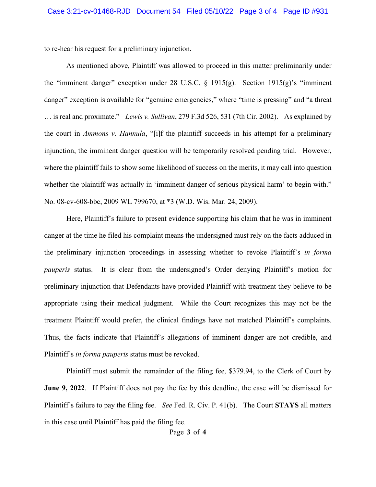to re-hear his request for a preliminary injunction.

 As mentioned above, Plaintiff was allowed to proceed in this matter preliminarily under the "imminent danger" exception under 28 U.S.C.  $\S$  1915(g). Section 1915(g)'s "imminent danger" exception is available for "genuine emergencies," where "time is pressing" and "a threat … is real and proximate." *Lewis v. Sullivan*, 279 F.3d 526, 531 (7th Cir. 2002). As explained by the court in *Ammons v. Hannula*, "[i]f the plaintiff succeeds in his attempt for a preliminary injunction, the imminent danger question will be temporarily resolved pending trial. However, where the plaintiff fails to show some likelihood of success on the merits, it may call into question whether the plaintiff was actually in 'imminent danger of serious physical harm' to begin with." No. 08-cv-608-bbc, 2009 WL 799670, at \*3 (W.D. Wis. Mar. 24, 2009).

 Here, Plaintiff's failure to present evidence supporting his claim that he was in imminent danger at the time he filed his complaint means the undersigned must rely on the facts adduced in the preliminary injunction proceedings in assessing whether to revoke Plaintiff's *in forma pauperis* status. It is clear from the undersigned's Order denying Plaintiff's motion for preliminary injunction that Defendants have provided Plaintiff with treatment they believe to be appropriate using their medical judgment. While the Court recognizes this may not be the treatment Plaintiff would prefer, the clinical findings have not matched Plaintiff's complaints. Thus, the facts indicate that Plaintiff's allegations of imminent danger are not credible, and Plaintiff's *in forma pauperis* status must be revoked.

 Plaintiff must submit the remainder of the filing fee, \$379.94, to the Clerk of Court by **June 9, 2022.** If Plaintiff does not pay the fee by this deadline, the case will be dismissed for Plaintiff's failure to pay the filing fee. *See* Fed. R. Civ. P. 41(b). The Court **STAYS** all matters in this case until Plaintiff has paid the filing fee.